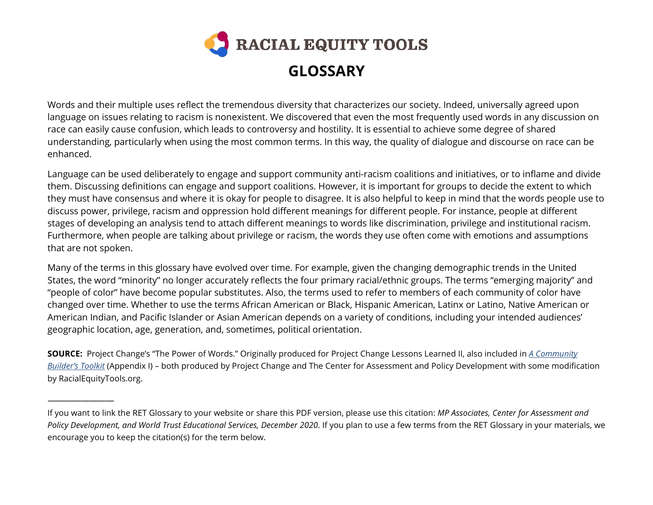

Words and their multiple uses reflect the tremendous diversity that characterizes our society. Indeed, universally agreed upon language on issues relating to racism is nonexistent. We discovered that even the most frequently used words in any discussion on race can easily cause confusion, which leads to controversy and hostility. It is essential to achieve some degree of shared understanding, particularly when using the most common terms. In this way, the quality of dialogue and discourse on race can be enhanced.

Language can be used deliberately to engage and support community anti-racism coalitions and initiatives, or to inflame and divide them. Discussing definitions can engage and support coalitions. However, it is important for groups to decide the extent to which they must have consensus and where it is okay for people to disagree. It is also helpful to keep in mind that the words people use to discuss power, privilege, racism and oppression hold different meanings for different people. For instance, people at different stages of developing an analysis tend to attach different meanings to words like discrimination, privilege and institutional racism. Furthermore, when people are talking about privilege or racism, the words they use often come with emotions and assumptions that are not spoken.

Many of the terms in this glossary have evolved over time. For example, given the changing demographic trends in the United States, the word "minority" no longer accurately reflects the four primary racial/ethnic groups. The terms "emerging majority" and "people of color" have become popular substitutes. Also, the terms used to refer to members of each community of color have changed over time. Whether to use the terms African American or Black, Hispanic American, Latinx or Latino, Native American or American Indian, and Pacific Islander or Asian American depends on a variety of conditions, including your intended audiences' geographic location, age, generation, and, sometimes, political orientation.

**SOURCE:** Project Change's "The Power of Words." Originally produced for Project Change Lessons Learned II, also included in *A [Community](https://drive.google.com/file/d/1mM2ATbM9aUwBRFxuk7O1hgIjzYYV5IKl/view?usp=sharing)  [Builder's Toolkit](https://drive.google.com/file/d/1mM2ATbM9aUwBRFxuk7O1hgIjzYYV5IKl/view?usp=sharing)* (Appendix I) – both produced by Project Change and The Center for Assessment and Policy Development with some modification by RacialEquityTools.org.

————————

If you want to link the RET Glossary to your website or share this PDF version, please use this citation: *MP Associates, Center for Assessment and Policy Development, and World Trust Educational Services, December 2020*. If you plan to use a few terms from the RET Glossary in your materials, we encourage you to keep the citation(s) for the term below.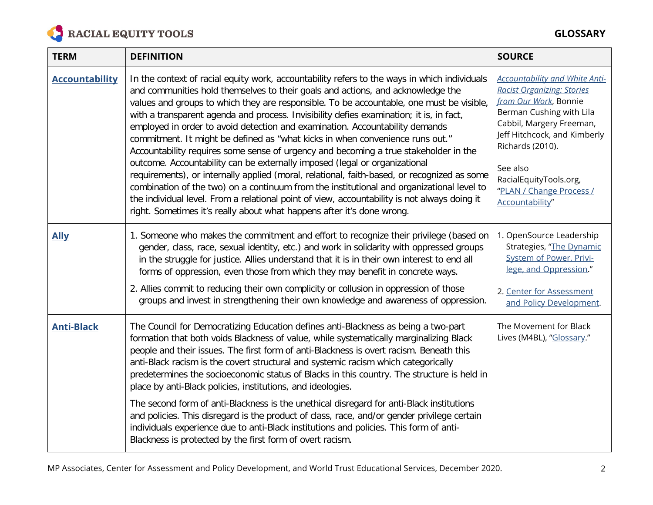

| <b>TERM</b>           | <b>DEFINITION</b>                                                                                                                                                                                                                                                                                                                                                                                                                                                                                                                                                                                                                                                                                                                                                                                                                                                                                                                                                                                                                                                                   | <b>SOURCE</b>                                                                                                                                                                                                                                                                                        |
|-----------------------|-------------------------------------------------------------------------------------------------------------------------------------------------------------------------------------------------------------------------------------------------------------------------------------------------------------------------------------------------------------------------------------------------------------------------------------------------------------------------------------------------------------------------------------------------------------------------------------------------------------------------------------------------------------------------------------------------------------------------------------------------------------------------------------------------------------------------------------------------------------------------------------------------------------------------------------------------------------------------------------------------------------------------------------------------------------------------------------|------------------------------------------------------------------------------------------------------------------------------------------------------------------------------------------------------------------------------------------------------------------------------------------------------|
| <b>Accountability</b> | In the context of racial equity work, accountability refers to the ways in which individuals<br>and communities hold themselves to their goals and actions, and acknowledge the<br>values and groups to which they are responsible. To be accountable, one must be visible,<br>with a transparent agenda and process. Invisibility defies examination; it is, in fact,<br>employed in order to avoid detection and examination. Accountability demands<br>commitment. It might be defined as "what kicks in when convenience runs out."<br>Accountability requires some sense of urgency and becoming a true stakeholder in the<br>outcome. Accountability can be externally imposed (legal or organizational<br>requirements), or internally applied (moral, relational, faith-based, or recognized as some<br>combination of the two) on a continuum from the institutional and organizational level to<br>the individual level. From a relational point of view, accountability is not always doing it<br>right. Sometimes it's really about what happens after it's done wrong. | <b>Accountability and White Anti-</b><br><b>Racist Organizing: Stories</b><br>from Our Work, Bonnie<br>Berman Cushing with Lila<br>Cabbil, Margery Freeman,<br>Jeff Hitchcock, and Kimberly<br>Richards (2010).<br>See also<br>RacialEquityTools.org,<br>"PLAN / Change Process /<br>Accountability" |
| <b>Ally</b>           | 1. Someone who makes the commitment and effort to recognize their privilege (based on<br>gender, class, race, sexual identity, etc.) and work in solidarity with oppressed groups<br>in the struggle for justice. Allies understand that it is in their own interest to end all<br>forms of oppression, even those from which they may benefit in concrete ways.<br>2. Allies commit to reducing their own complicity or collusion in oppression of those<br>groups and invest in strengthening their own knowledge and awareness of oppression.                                                                                                                                                                                                                                                                                                                                                                                                                                                                                                                                    | 1. OpenSource Leadership<br>Strategies, "The Dynamic<br><b>System of Power, Privi-</b><br>lege, and Oppression."<br>2. Center for Assessment<br>and Policy Development.                                                                                                                              |
| <b>Anti-Black</b>     | The Council for Democratizing Education defines anti-Blackness as being a two-part<br>formation that both voids Blackness of value, while systematically marginalizing Black<br>people and their issues. The first form of anti-Blackness is overt racism. Beneath this<br>anti-Black racism is the covert structural and systemic racism which categorically<br>predetermines the socioeconomic status of Blacks in this country. The structure is held in<br>place by anti-Black policies, institutions, and ideologies.<br>The second form of anti-Blackness is the unethical disregard for anti-Black institutions<br>and policies. This disregard is the product of class, race, and/or gender privilege certain<br>individuals experience due to anti-Black institutions and policies. This form of anti-                                                                                                                                                                                                                                                                     | The Movement for Black<br>Lives (M4BL), "Glossary."                                                                                                                                                                                                                                                  |
|                       | Blackness is protected by the first form of overt racism.                                                                                                                                                                                                                                                                                                                                                                                                                                                                                                                                                                                                                                                                                                                                                                                                                                                                                                                                                                                                                           |                                                                                                                                                                                                                                                                                                      |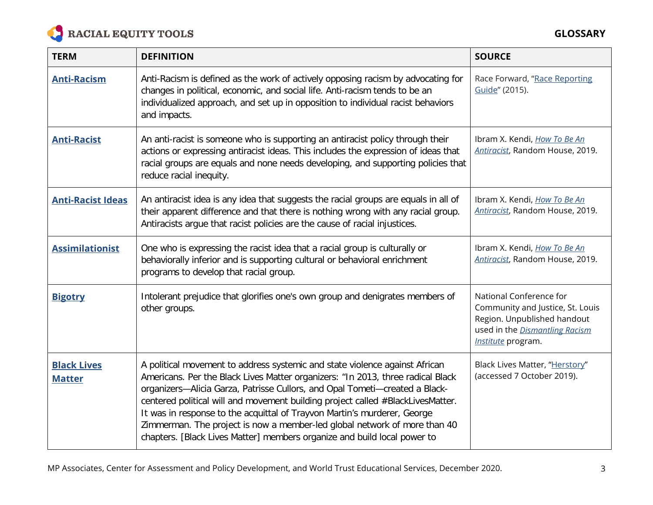

| <b>TERM</b>                         | <b>DEFINITION</b>                                                                                                                                                                                                                                                                                                                                                                                                                                                                                                                                                     | <b>SOURCE</b>                                                                                                                                      |
|-------------------------------------|-----------------------------------------------------------------------------------------------------------------------------------------------------------------------------------------------------------------------------------------------------------------------------------------------------------------------------------------------------------------------------------------------------------------------------------------------------------------------------------------------------------------------------------------------------------------------|----------------------------------------------------------------------------------------------------------------------------------------------------|
| <b>Anti-Racism</b>                  | Anti-Racism is defined as the work of actively opposing racism by advocating for<br>changes in political, economic, and social life. Anti-racism tends to be an<br>individualized approach, and set up in opposition to individual racist behaviors<br>and impacts.                                                                                                                                                                                                                                                                                                   | Race Forward, "Race Reporting<br>Guide" (2015).                                                                                                    |
| <b>Anti-Racist</b>                  | An anti-racist is someone who is supporting an antiracist policy through their<br>actions or expressing antiracist ideas. This includes the expression of ideas that<br>racial groups are equals and none needs developing, and supporting policies that<br>reduce racial inequity.                                                                                                                                                                                                                                                                                   | Ibram X. Kendi, How To Be An<br>Antiracist, Random House, 2019.                                                                                    |
| <b>Anti-Racist Ideas</b>            | An antiracist idea is any idea that suggests the racial groups are equals in all of<br>their apparent difference and that there is nothing wrong with any racial group.<br>Antiracists argue that racist policies are the cause of racial injustices.                                                                                                                                                                                                                                                                                                                 | Ibram X. Kendi, <i>How To Be An</i><br>Antiracist, Random House, 2019.                                                                             |
| <b>Assimilationist</b>              | One who is expressing the racist idea that a racial group is culturally or<br>behaviorally inferior and is supporting cultural or behavioral enrichment<br>programs to develop that racial group.                                                                                                                                                                                                                                                                                                                                                                     | Ibram X. Kendi, How To Be An<br>Antiracist, Random House, 2019.                                                                                    |
| <b>Bigotry</b>                      | Intolerant prejudice that glorifies one's own group and denigrates members of<br>other groups.                                                                                                                                                                                                                                                                                                                                                                                                                                                                        | National Conference for<br>Community and Justice, St. Louis<br>Region. Unpublished handout<br>used in the Dismantling Racism<br>Institute program. |
| <b>Black Lives</b><br><b>Matter</b> | A political movement to address systemic and state violence against African<br>Americans. Per the Black Lives Matter organizers: "In 2013, three radical Black<br>organizers-Alicia Garza, Patrisse Cullors, and Opal Tometi-created a Black-<br>centered political will and movement building project called #BlackLivesMatter.<br>It was in response to the acquittal of Trayvon Martin's murderer, George<br>Zimmerman. The project is now a member-led global network of more than 40<br>chapters. [Black Lives Matter] members organize and build local power to | Black Lives Matter, "Herstory"<br>(accessed 7 October 2019).                                                                                       |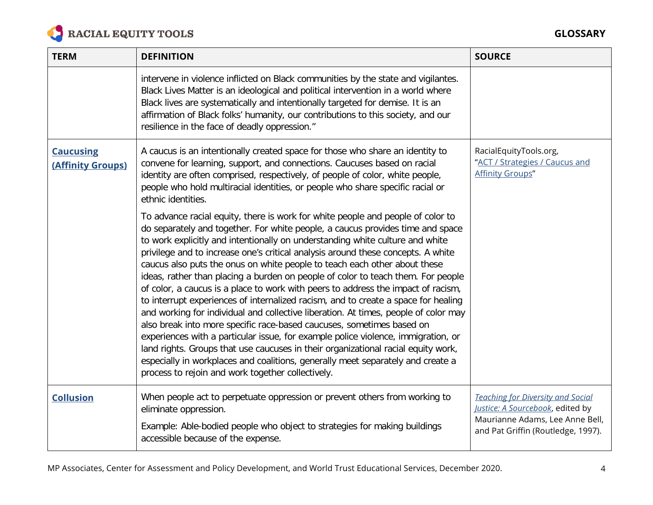

| <b>TERM</b>                           | <b>DEFINITION</b>                                                                                                                                                                                                                                                                                                                                                                                                                                                                                                                                                                                                                                                                                                                                                                                                                                                                                                                                                                                                                                                                                                                                                    | <b>SOURCE</b>                                                                                                                                         |
|---------------------------------------|----------------------------------------------------------------------------------------------------------------------------------------------------------------------------------------------------------------------------------------------------------------------------------------------------------------------------------------------------------------------------------------------------------------------------------------------------------------------------------------------------------------------------------------------------------------------------------------------------------------------------------------------------------------------------------------------------------------------------------------------------------------------------------------------------------------------------------------------------------------------------------------------------------------------------------------------------------------------------------------------------------------------------------------------------------------------------------------------------------------------------------------------------------------------|-------------------------------------------------------------------------------------------------------------------------------------------------------|
|                                       | intervene in violence inflicted on Black communities by the state and vigilantes.<br>Black Lives Matter is an ideological and political intervention in a world where<br>Black lives are systematically and intentionally targeted for demise. It is an<br>affirmation of Black folks' humanity, our contributions to this society, and our<br>resilience in the face of deadly oppression."                                                                                                                                                                                                                                                                                                                                                                                                                                                                                                                                                                                                                                                                                                                                                                         |                                                                                                                                                       |
| <b>Caucusing</b><br>(Affinity Groups) | A caucus is an intentionally created space for those who share an identity to<br>convene for learning, support, and connections. Caucuses based on racial<br>identity are often comprised, respectively, of people of color, white people,<br>people who hold multiracial identities, or people who share specific racial or<br>ethnic identities.                                                                                                                                                                                                                                                                                                                                                                                                                                                                                                                                                                                                                                                                                                                                                                                                                   | RacialEquityTools.org,<br>"ACT / Strategies / Caucus and<br><b>Affinity Groups"</b>                                                                   |
|                                       | To advance racial equity, there is work for white people and people of color to<br>do separately and together. For white people, a caucus provides time and space<br>to work explicitly and intentionally on understanding white culture and white<br>privilege and to increase one's critical analysis around these concepts. A white<br>caucus also puts the onus on white people to teach each other about these<br>ideas, rather than placing a burden on people of color to teach them. For people<br>of color, a caucus is a place to work with peers to address the impact of racism,<br>to interrupt experiences of internalized racism, and to create a space for healing<br>and working for individual and collective liberation. At times, people of color may<br>also break into more specific race-based caucuses, sometimes based on<br>experiences with a particular issue, for example police violence, immigration, or<br>land rights. Groups that use caucuses in their organizational racial equity work,<br>especially in workplaces and coalitions, generally meet separately and create a<br>process to rejoin and work together collectively. |                                                                                                                                                       |
| <b>Collusion</b>                      | When people act to perpetuate oppression or prevent others from working to<br>eliminate oppression.<br>Example: Able-bodied people who object to strategies for making buildings<br>accessible because of the expense.                                                                                                                                                                                                                                                                                                                                                                                                                                                                                                                                                                                                                                                                                                                                                                                                                                                                                                                                               | <b>Teaching for Diversity and Social</b><br>Justice: A Sourcebook, edited by<br>Maurianne Adams, Lee Anne Bell,<br>and Pat Griffin (Routledge, 1997). |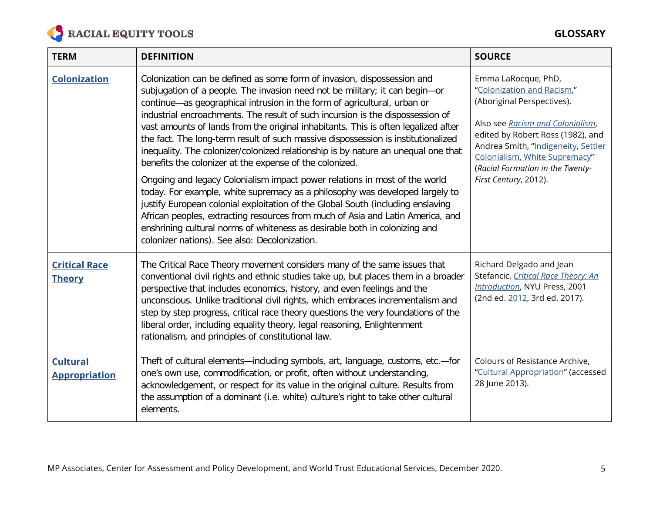

| <b>TERM</b>                             | <b>DEFINITION</b>                                                                                                                                                                                                                                                                                                                                                                                                                                                                                                                                                                                                                                                                                                                                                                                                                                                                                                                                                                                                                                                                                                 | <b>SOURCE</b>                                                                                                                                                                                                                                                                                 |
|-----------------------------------------|-------------------------------------------------------------------------------------------------------------------------------------------------------------------------------------------------------------------------------------------------------------------------------------------------------------------------------------------------------------------------------------------------------------------------------------------------------------------------------------------------------------------------------------------------------------------------------------------------------------------------------------------------------------------------------------------------------------------------------------------------------------------------------------------------------------------------------------------------------------------------------------------------------------------------------------------------------------------------------------------------------------------------------------------------------------------------------------------------------------------|-----------------------------------------------------------------------------------------------------------------------------------------------------------------------------------------------------------------------------------------------------------------------------------------------|
| <b>Colonization</b>                     | Colonization can be defined as some form of invasion, dispossession and<br>subjugation of a people. The invasion need not be military; it can begin-or<br>continue-as geographical intrusion in the form of agricultural, urban or<br>industrial encroachments. The result of such incursion is the dispossession of<br>vast amounts of lands from the original inhabitants. This is often legalized after<br>the fact. The long-term result of such massive dispossession is institutionalized<br>inequality. The colonizer/colonized relationship is by nature an unequal one that<br>benefits the colonizer at the expense of the colonized.<br>Ongoing and legacy Colonialism impact power relations in most of the world<br>today. For example, white supremacy as a philosophy was developed largely to<br>justify European colonial exploitation of the Global South (including enslaving<br>African peoples, extracting resources from much of Asia and Latin America, and<br>enshrining cultural norms of whiteness as desirable both in colonizing and<br>colonizer nations). See also: Decolonization. | Emma LaRocque, PhD,<br>"Colonization and Racism,"<br>(Aboriginal Perspectives).<br>Also see Racism and Colonialism,<br>edited by Robert Ross (1982), and<br>Andrea Smith, "Indigeneity, Settler<br>Colonialism, White Supremacy"<br>(Racial Formation in the Twenty-<br>First Century, 2012). |
| <b>Critical Race</b><br><b>Theory</b>   | The Critical Race Theory movement considers many of the same issues that<br>conventional civil rights and ethnic studies take up, but places them in a broader<br>perspective that includes economics, history, and even feelings and the<br>unconscious. Unlike traditional civil rights, which embraces incrementalism and<br>step by step progress, critical race theory questions the very foundations of the<br>liberal order, including equality theory, legal reasoning, Enlightenment<br>rationalism, and principles of constitutional law.                                                                                                                                                                                                                                                                                                                                                                                                                                                                                                                                                               | Richard Delgado and Jean<br>Stefancic, Critical Race Theory: An<br>Introduction, NYU Press, 2001<br>(2nd ed. 2012, 3rd ed. 2017).                                                                                                                                                             |
| <b>Cultural</b><br><b>Appropriation</b> | Theft of cultural elements—including symbols, art, language, customs, etc.—for<br>one's own use, commodification, or profit, often without understanding,<br>acknowledgement, or respect for its value in the original culture. Results from<br>the assumption of a dominant (i.e. white) culture's right to take other cultural<br>elements.                                                                                                                                                                                                                                                                                                                                                                                                                                                                                                                                                                                                                                                                                                                                                                     | Colours of Resistance Archive,<br>"Cultural Appropriation" (accessed<br>28 June 2013).                                                                                                                                                                                                        |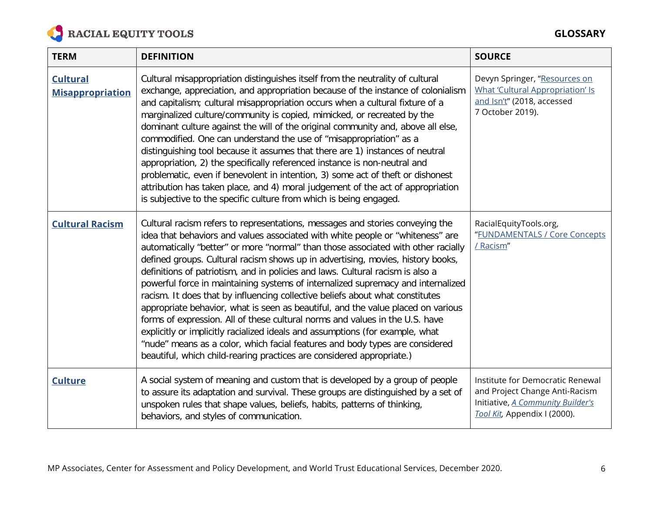

| <b>TERM</b>                                | <b>DEFINITION</b>                                                                                                                                                                                                                                                                                                                                                                                                                                                                                                                                                                                                                                                                                                                                                                                                                                                                                                                                                                                            | <b>SOURCE</b>                                                                                                                           |
|--------------------------------------------|--------------------------------------------------------------------------------------------------------------------------------------------------------------------------------------------------------------------------------------------------------------------------------------------------------------------------------------------------------------------------------------------------------------------------------------------------------------------------------------------------------------------------------------------------------------------------------------------------------------------------------------------------------------------------------------------------------------------------------------------------------------------------------------------------------------------------------------------------------------------------------------------------------------------------------------------------------------------------------------------------------------|-----------------------------------------------------------------------------------------------------------------------------------------|
| <b>Cultural</b><br><b>Misappropriation</b> | Cultural misappropriation distinguishes itself from the neutrality of cultural<br>exchange, appreciation, and appropriation because of the instance of colonialism<br>and capitalism; cultural misappropriation occurs when a cultural fixture of a<br>marginalized culture/community is copied, mimicked, or recreated by the<br>dominant culture against the will of the original community and, above all else,<br>commodified. One can understand the use of "misappropriation" as a<br>distinguishing tool because it assumes that there are 1) instances of neutral<br>appropriation, 2) the specifically referenced instance is non-neutral and<br>problematic, even if benevolent in intention, 3) some act of theft or dishonest<br>attribution has taken place, and 4) moral judgement of the act of appropriation<br>is subjective to the specific culture from which is being engaged.                                                                                                           | Devyn Springer, "Resources on<br><b>What 'Cultural Appropriation' Is</b><br>and Isn't" (2018, accessed<br>7 October 2019).              |
| <b>Cultural Racism</b>                     | Cultural racism refers to representations, messages and stories conveying the<br>idea that behaviors and values associated with white people or "whiteness" are<br>automatically "better" or more "normal" than those associated with other racially<br>defined groups. Cultural racism shows up in advertising, movies, history books,<br>definitions of patriotism, and in policies and laws. Cultural racism is also a<br>powerful force in maintaining systems of internalized supremacy and internalized<br>racism. It does that by influencing collective beliefs about what constitutes<br>appropriate behavior, what is seen as beautiful, and the value placed on various<br>forms of expression. All of these cultural norms and values in the U.S. have<br>explicitly or implicitly racialized ideals and assumptions (for example, what<br>"nude" means as a color, which facial features and body types are considered<br>beautiful, which child-rearing practices are considered appropriate.) | RacialEquityTools.org,<br>"FUNDAMENTALS / Core Concepts<br>/ Racism"                                                                    |
| <b>Culture</b>                             | A social system of meaning and custom that is developed by a group of people<br>to assure its adaptation and survival. These groups are distinguished by a set of<br>unspoken rules that shape values, beliefs, habits, patterns of thinking,<br>behaviors, and styles of communication.                                                                                                                                                                                                                                                                                                                                                                                                                                                                                                                                                                                                                                                                                                                     | Institute for Democratic Renewal<br>and Project Change Anti-Racism<br>Initiative, A Community Builder's<br>Tool Kit, Appendix I (2000). |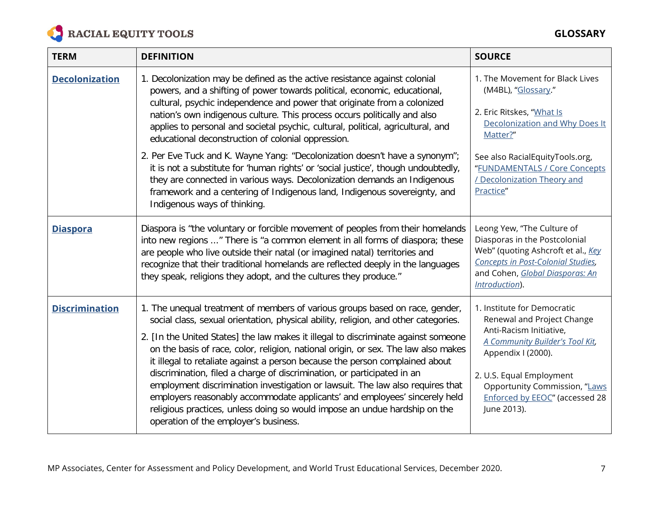

| <b>TERM</b>           | <b>DEFINITION</b>                                                                                                                                                                                                                                                                                                                                                                                                                                                                                                                                                                                                                                                                                                                                                                                 | <b>SOURCE</b>                                                                                                                                                                                                                                               |
|-----------------------|---------------------------------------------------------------------------------------------------------------------------------------------------------------------------------------------------------------------------------------------------------------------------------------------------------------------------------------------------------------------------------------------------------------------------------------------------------------------------------------------------------------------------------------------------------------------------------------------------------------------------------------------------------------------------------------------------------------------------------------------------------------------------------------------------|-------------------------------------------------------------------------------------------------------------------------------------------------------------------------------------------------------------------------------------------------------------|
| <b>Decolonization</b> | 1. Decolonization may be defined as the active resistance against colonial<br>powers, and a shifting of power towards political, economic, educational,<br>cultural, psychic independence and power that originate from a colonized<br>nation's own indigenous culture. This process occurs politically and also<br>applies to personal and societal psychic, cultural, political, agricultural, and<br>educational deconstruction of colonial oppression.                                                                                                                                                                                                                                                                                                                                        | 1. The Movement for Black Lives<br>(M4BL), "Glossary."<br>2. Eric Ritskes, "What Is<br>Decolonization and Why Does It<br>Matter?"                                                                                                                           |
|                       | 2. Per Eve Tuck and K. Wayne Yang: "Decolonization doesn't have a synonym";<br>it is not a substitute for 'human rights' or 'social justice', though undoubtedly,<br>they are connected in various ways. Decolonization demands an Indigenous<br>framework and a centering of Indigenous land, Indigenous sovereignty, and<br>Indigenous ways of thinking.                                                                                                                                                                                                                                                                                                                                                                                                                                        | See also RacialEquityTools.org,<br>"FUNDAMENTALS / Core Concepts<br>/ Decolonization Theory and<br>Practice"                                                                                                                                                |
| <b>Diaspora</b>       | Diaspora is "the voluntary or forcible movement of peoples from their homelands<br>into new regions " There is "a common element in all forms of diaspora; these<br>are people who live outside their natal (or imagined natal) territories and<br>recognize that their traditional homelands are reflected deeply in the languages<br>they speak, religions they adopt, and the cultures they produce."                                                                                                                                                                                                                                                                                                                                                                                          | Leong Yew, "The Culture of<br>Diasporas in the Postcolonial<br>Web" (quoting Ashcroft et al., Key<br>Concepts in Post-Colonial Studies,<br>and Cohen, Global Diasporas: An<br>Introduction).                                                                |
| <b>Discrimination</b> | 1. The unequal treatment of members of various groups based on race, gender,<br>social class, sexual orientation, physical ability, religion, and other categories.<br>2. [In the United States] the law makes it illegal to discriminate against someone<br>on the basis of race, color, religion, national origin, or sex. The law also makes<br>it illegal to retaliate against a person because the person complained about<br>discrimination, filed a charge of discrimination, or participated in an<br>employment discrimination investigation or lawsuit. The law also requires that<br>employers reasonably accommodate applicants' and employees' sincerely held<br>religious practices, unless doing so would impose an undue hardship on the<br>operation of the employer's business. | 1. Institute for Democratic<br>Renewal and Project Change<br>Anti-Racism Initiative,<br>A Community Builder's Tool Kit,<br>Appendix I (2000).<br>2. U.S. Equal Employment<br>Opportunity Commission, "Laws<br>Enforced by EEOC" (accessed 28<br>June 2013). |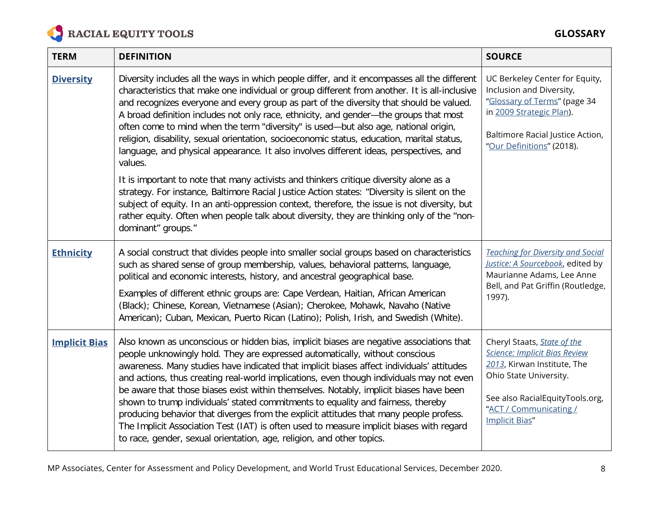

| <b>TERM</b>          | <b>DEFINITION</b>                                                                                                                                                                                                                                                                                                                                                                                                                                                                                                                                                                                                                                                                                                                                                                                              | <b>SOURCE</b>                                                                                                                                                                                                             |
|----------------------|----------------------------------------------------------------------------------------------------------------------------------------------------------------------------------------------------------------------------------------------------------------------------------------------------------------------------------------------------------------------------------------------------------------------------------------------------------------------------------------------------------------------------------------------------------------------------------------------------------------------------------------------------------------------------------------------------------------------------------------------------------------------------------------------------------------|---------------------------------------------------------------------------------------------------------------------------------------------------------------------------------------------------------------------------|
| <b>Diversity</b>     | Diversity includes all the ways in which people differ, and it encompasses all the different<br>characteristics that make one individual or group different from another. It is all-inclusive<br>and recognizes everyone and every group as part of the diversity that should be valued.<br>A broad definition includes not only race, ethnicity, and gender-the groups that most<br>often come to mind when the term "diversity" is used—but also age, national origin,<br>religion, disability, sexual orientation, socioeconomic status, education, marital status,<br>language, and physical appearance. It also involves different ideas, perspectives, and<br>values.                                                                                                                                    | UC Berkeley Center for Equity,<br>Inclusion and Diversity,<br>"Glossary of Terms" (page 34<br>in 2009 Strategic Plan).<br>Baltimore Racial Justice Action,<br>"Our Definitions" (2018).                                   |
|                      | It is important to note that many activists and thinkers critique diversity alone as a<br>strategy. For instance, Baltimore Racial Justice Action states: "Diversity is silent on the<br>subject of equity. In an anti-oppression context, therefore, the issue is not diversity, but<br>rather equity. Often when people talk about diversity, they are thinking only of the "non-<br>dominant" groups."                                                                                                                                                                                                                                                                                                                                                                                                      |                                                                                                                                                                                                                           |
| <b>Ethnicity</b>     | A social construct that divides people into smaller social groups based on characteristics<br>such as shared sense of group membership, values, behavioral patterns, language,<br>political and economic interests, history, and ancestral geographical base.<br>Examples of different ethnic groups are: Cape Verdean, Haitian, African American<br>(Black); Chinese, Korean, Vietnamese (Asian); Cherokee, Mohawk, Navaho (Native<br>American); Cuban, Mexican, Puerto Rican (Latino); Polish, Irish, and Swedish (White).                                                                                                                                                                                                                                                                                   | <b>Teaching for Diversity and Social</b><br>Justice: A Sourcebook, edited by<br>Maurianne Adams, Lee Anne<br>Bell, and Pat Griffin (Routledge,<br>1997).                                                                  |
| <b>Implicit Bias</b> | Also known as unconscious or hidden bias, implicit biases are negative associations that<br>people unknowingly hold. They are expressed automatically, without conscious<br>awareness. Many studies have indicated that implicit biases affect individuals' attitudes<br>and actions, thus creating real-world implications, even though individuals may not even<br>be aware that those biases exist within themselves. Notably, implicit biases have been<br>shown to trump individuals' stated commitments to equality and fairness, thereby<br>producing behavior that diverges from the explicit attitudes that many people profess.<br>The Implicit Association Test (IAT) is often used to measure implicit biases with regard<br>to race, gender, sexual orientation, age, religion, and other topics. | Cheryl Staats, <b>State of the</b><br><b>Science: Implicit Bias Review</b><br>2013, Kirwan Institute, The<br>Ohio State University.<br>See also RacialEquityTools.org,<br>"ACT / Communicating /<br><b>Implicit Bias"</b> |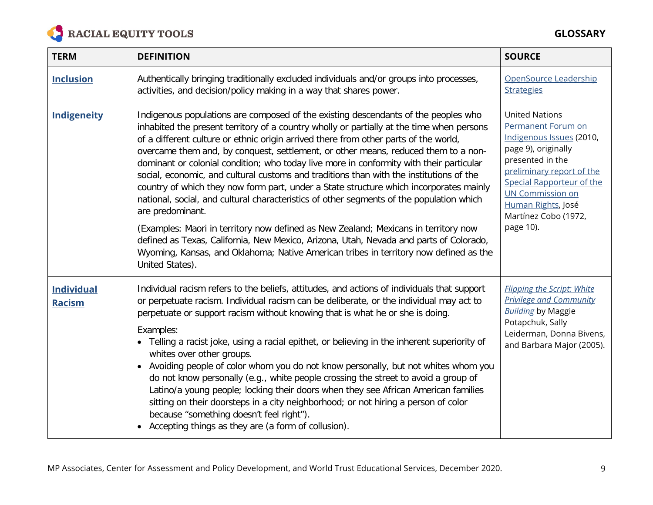

| <b>TERM</b>                        | <b>DEFINITION</b>                                                                                                                                                                                                                                                                                                                                                                                                                                                                                                                                                                                                                                                                                                                                                                                                                                                                                                                                                                                                                                          | <b>SOURCE</b>                                                                                                                                                                                                                                                      |
|------------------------------------|------------------------------------------------------------------------------------------------------------------------------------------------------------------------------------------------------------------------------------------------------------------------------------------------------------------------------------------------------------------------------------------------------------------------------------------------------------------------------------------------------------------------------------------------------------------------------------------------------------------------------------------------------------------------------------------------------------------------------------------------------------------------------------------------------------------------------------------------------------------------------------------------------------------------------------------------------------------------------------------------------------------------------------------------------------|--------------------------------------------------------------------------------------------------------------------------------------------------------------------------------------------------------------------------------------------------------------------|
| <b>Inclusion</b>                   | Authentically bringing traditionally excluded individuals and/or groups into processes,<br>activities, and decision/policy making in a way that shares power.                                                                                                                                                                                                                                                                                                                                                                                                                                                                                                                                                                                                                                                                                                                                                                                                                                                                                              | OpenSource Leadership<br><b>Strategies</b>                                                                                                                                                                                                                         |
| Indigeneity                        | Indigenous populations are composed of the existing descendants of the peoples who<br>inhabited the present territory of a country wholly or partially at the time when persons<br>of a different culture or ethnic origin arrived there from other parts of the world,<br>overcame them and, by conquest, settlement, or other means, reduced them to a non-<br>dominant or colonial condition; who today live more in conformity with their particular<br>social, economic, and cultural customs and traditions than with the institutions of the<br>country of which they now form part, under a State structure which incorporates mainly<br>national, social, and cultural characteristics of other segments of the population which<br>are predominant.<br>(Examples: Maori in territory now defined as New Zealand; Mexicans in territory now<br>defined as Texas, California, New Mexico, Arizona, Utah, Nevada and parts of Colorado,<br>Wyoming, Kansas, and Oklahoma; Native American tribes in territory now defined as the<br>United States). | <b>United Nations</b><br>Permanent Forum on<br>Indigenous Issues (2010,<br>page 9), originally<br>presented in the<br>preliminary report of the<br>Special Rapporteur of the<br><b>UN Commission on</b><br>Human Rights, José<br>Martínez Cobo (1972,<br>page 10). |
| <b>Individual</b><br><b>Racism</b> | Individual racism refers to the beliefs, attitudes, and actions of individuals that support<br>or perpetuate racism. Individual racism can be deliberate, or the individual may act to<br>perpetuate or support racism without knowing that is what he or she is doing.<br>Examples:<br>Telling a racist joke, using a racial epithet, or believing in the inherent superiority of<br>whites over other groups.<br>Avoiding people of color whom you do not know personally, but not whites whom you<br>do not know personally (e.g., white people crossing the street to avoid a group of<br>Latino/a young people; locking their doors when they see African American families<br>sitting on their doorsteps in a city neighborhood; or not hiring a person of color<br>because "something doesn't feel right").<br>Accepting things as they are (a form of collusion).                                                                                                                                                                                  | <b>Flipping the Script: White</b><br><b>Privilege and Community</b><br><b>Building by Maggie</b><br>Potapchuk, Sally<br>Leiderman, Donna Bivens,<br>and Barbara Major (2005).                                                                                      |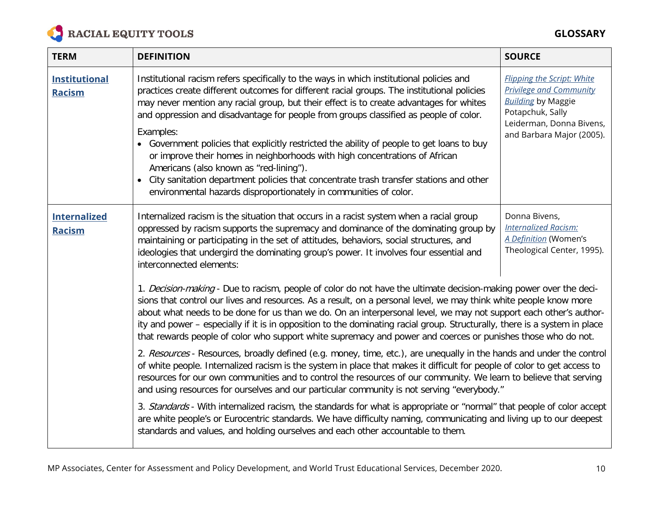

| <b>TERM</b>                           | <b>DEFINITION</b>                                                                                                                                                                                                                                                                                                                                                                                                                                                                                                                                                                                                                                                                                                                                                                 | <b>SOURCE</b>                                                                                                                                                                 |
|---------------------------------------|-----------------------------------------------------------------------------------------------------------------------------------------------------------------------------------------------------------------------------------------------------------------------------------------------------------------------------------------------------------------------------------------------------------------------------------------------------------------------------------------------------------------------------------------------------------------------------------------------------------------------------------------------------------------------------------------------------------------------------------------------------------------------------------|-------------------------------------------------------------------------------------------------------------------------------------------------------------------------------|
| <b>Institutional</b><br><b>Racism</b> | Institutional racism refers specifically to the ways in which institutional policies and<br>practices create different outcomes for different racial groups. The institutional policies<br>may never mention any racial group, but their effect is to create advantages for whites<br>and oppression and disadvantage for people from groups classified as people of color.<br>Examples:<br>• Government policies that explicitly restricted the ability of people to get loans to buy<br>or improve their homes in neighborhoods with high concentrations of African<br>Americans (also known as "red-lining").<br>• City sanitation department policies that concentrate trash transfer stations and other<br>environmental hazards disproportionately in communities of color. | <b>Flipping the Script: White</b><br><b>Privilege and Community</b><br><b>Building by Maggie</b><br>Potapchuk, Sally<br>Leiderman, Donna Bivens,<br>and Barbara Major (2005). |
| <b>Internalized</b><br><b>Racism</b>  | Internalized racism is the situation that occurs in a racist system when a racial group<br>oppressed by racism supports the supremacy and dominance of the dominating group by<br>maintaining or participating in the set of attitudes, behaviors, social structures, and<br>ideologies that undergird the dominating group's power. It involves four essential and<br>interconnected elements:                                                                                                                                                                                                                                                                                                                                                                                   | Donna Bivens,<br><b>Internalized Racism:</b><br>A Definition (Women's<br>Theological Center, 1995).                                                                           |
|                                       | 1. Decision-making - Due to racism, people of color do not have the ultimate decision-making power over the deci-<br>sions that control our lives and resources. As a result, on a personal level, we may think white people know more<br>about what needs to be done for us than we do. On an interpersonal level, we may not support each other's author-<br>ity and power - especially if it is in opposition to the dominating racial group. Structurally, there is a system in place<br>that rewards people of color who support white supremacy and power and coerces or punishes those who do not.                                                                                                                                                                         |                                                                                                                                                                               |
|                                       | 2. Resources - Resources, broadly defined (e.g. money, time, etc.), are unequally in the hands and under the control<br>of white people. Internalized racism is the system in place that makes it difficult for people of color to get access to<br>resources for our own communities and to control the resources of our community. We learn to believe that serving<br>and using resources for ourselves and our particular community is not serving "everybody."                                                                                                                                                                                                                                                                                                               |                                                                                                                                                                               |
|                                       | 3. Standards - With internalized racism, the standards for what is appropriate or "normal" that people of color accept<br>are white people's or Eurocentric standards. We have difficulty naming, communicating and living up to our deepest<br>standards and values, and holding ourselves and each other accountable to them.                                                                                                                                                                                                                                                                                                                                                                                                                                                   |                                                                                                                                                                               |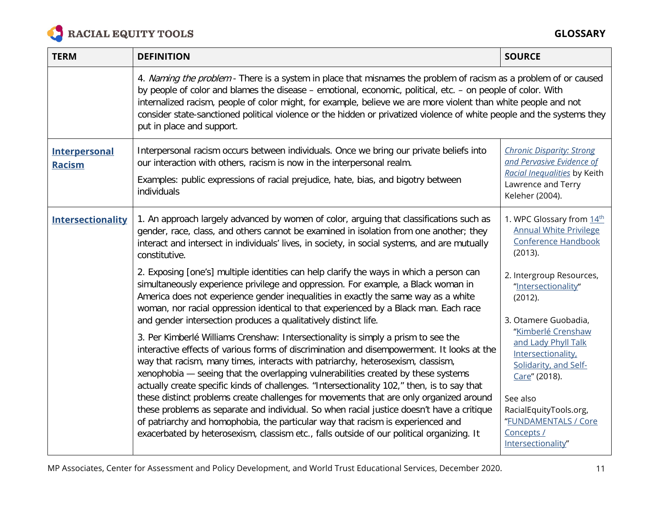

**GLOSSARY**

| <b>TERM</b>                           | <b>DEFINITION</b>                                                                                                                                                                                                                                                                                                                                                                                                                                                                                        | <b>SOURCE</b>                                                                                                                          |
|---------------------------------------|----------------------------------------------------------------------------------------------------------------------------------------------------------------------------------------------------------------------------------------------------------------------------------------------------------------------------------------------------------------------------------------------------------------------------------------------------------------------------------------------------------|----------------------------------------------------------------------------------------------------------------------------------------|
|                                       | 4. Naming the problem - There is a system in place that misnames the problem of racism as a problem of or caused<br>by people of color and blames the disease - emotional, economic, political, etc. - on people of color. With<br>internalized racism, people of color might, for example, believe we are more violent than white people and not<br>consider state-sanctioned political violence or the hidden or privatized violence of white people and the systems they<br>put in place and support. |                                                                                                                                        |
| <b>Interpersonal</b><br><b>Racism</b> | Interpersonal racism occurs between individuals. Once we bring our private beliefs into<br>our interaction with others, racism is now in the interpersonal realm.<br>Examples: public expressions of racial prejudice, hate, bias, and bigotry between<br>individuals                                                                                                                                                                                                                                    | <b>Chronic Disparity: Strong</b><br>and Pervasive Evidence of<br>Racial Inequalities by Keith<br>Lawrence and Terry<br>Keleher (2004). |
| <b>Intersectionality</b>              | 1. An approach largely advanced by women of color, arguing that classifications such as<br>gender, race, class, and others cannot be examined in isolation from one another; they<br>interact and intersect in individuals' lives, in society, in social systems, and are mutually<br>constitutive.                                                                                                                                                                                                      | 1. WPC Glossary from 14th<br><b>Annual White Privilege</b><br><b>Conference Handbook</b><br>(2013).                                    |
|                                       | 2. Exposing [one's] multiple identities can help clarify the ways in which a person can<br>simultaneously experience privilege and oppression. For example, a Black woman in<br>America does not experience gender inequalities in exactly the same way as a white<br>woman, nor racial oppression identical to that experienced by a Black man. Each race<br>and gender intersection produces a qualitatively distinct life.                                                                            | 2. Intergroup Resources,<br>"Intersectionality"<br>(2012).<br>3. Otamere Guobadia,                                                     |
|                                       | 3. Per Kimberlé Williams Crenshaw: Intersectionality is simply a prism to see the<br>interactive effects of various forms of discrimination and disempowerment. It looks at the<br>way that racism, many times, interacts with patriarchy, heterosexism, classism,<br>xenophobia - seeing that the overlapping vulnerabilities created by these systems<br>actually create specific kinds of challenges. "Intersectionality 102," then, is to say that                                                   | "Kimberlé Crenshaw<br>and Lady Phyll Talk<br>Intersectionality,<br>Solidarity, and Self-<br>Care" (2018).                              |
|                                       | these distinct problems create challenges for movements that are only organized around<br>these problems as separate and individual. So when racial justice doesn't have a critique<br>of patriarchy and homophobia, the particular way that racism is experienced and<br>exacerbated by heterosexism, classism etc., falls outside of our political organizing. It                                                                                                                                      | See also<br>RacialEquityTools.org,<br>"FUNDAMENTALS / Core<br>Concepts /<br>Intersectionality"                                         |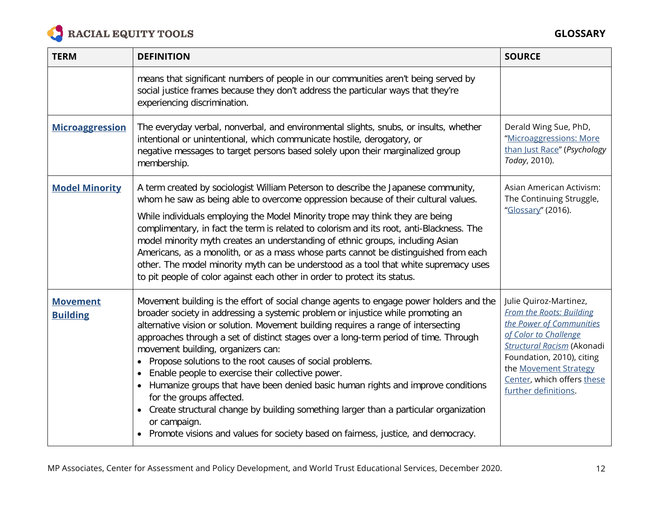

| <b>TERM</b>                        | <b>DEFINITION</b>                                                                                                                                                                                                                                                                                                                                                                                                                                                                                                                                                                                                                                                                                                                                                                                                                             | <b>SOURCE</b>                                                                                                                                                                                                                                                   |
|------------------------------------|-----------------------------------------------------------------------------------------------------------------------------------------------------------------------------------------------------------------------------------------------------------------------------------------------------------------------------------------------------------------------------------------------------------------------------------------------------------------------------------------------------------------------------------------------------------------------------------------------------------------------------------------------------------------------------------------------------------------------------------------------------------------------------------------------------------------------------------------------|-----------------------------------------------------------------------------------------------------------------------------------------------------------------------------------------------------------------------------------------------------------------|
|                                    | means that significant numbers of people in our communities aren't being served by<br>social justice frames because they don't address the particular ways that they're<br>experiencing discrimination.                                                                                                                                                                                                                                                                                                                                                                                                                                                                                                                                                                                                                                       |                                                                                                                                                                                                                                                                 |
| <b>Microaggression</b>             | The everyday verbal, nonverbal, and environmental slights, snubs, or insults, whether<br>intentional or unintentional, which communicate hostile, derogatory, or<br>negative messages to target persons based solely upon their marginalized group<br>membership.                                                                                                                                                                                                                                                                                                                                                                                                                                                                                                                                                                             | Derald Wing Sue, PhD,<br>"Microaggressions: More<br>than Just Race" (Psychology<br>Today, 2010).                                                                                                                                                                |
| <b>Model Minority</b>              | A term created by sociologist William Peterson to describe the Japanese community,<br>whom he saw as being able to overcome oppression because of their cultural values.<br>While individuals employing the Model Minority trope may think they are being<br>complimentary, in fact the term is related to colorism and its root, anti-Blackness. The<br>model minority myth creates an understanding of ethnic groups, including Asian<br>Americans, as a monolith, or as a mass whose parts cannot be distinguished from each<br>other. The model minority myth can be understood as a tool that white supremacy uses<br>to pit people of color against each other in order to protect its status.                                                                                                                                          | Asian American Activism:<br>The Continuing Struggle,<br>"Glossary" (2016).                                                                                                                                                                                      |
| <b>Movement</b><br><b>Building</b> | Movement building is the effort of social change agents to engage power holders and the<br>broader society in addressing a systemic problem or injustice while promoting an<br>alternative vision or solution. Movement building requires a range of intersecting<br>approaches through a set of distinct stages over a long-term period of time. Through<br>movement building, organizers can:<br>• Propose solutions to the root causes of social problems.<br>Enable people to exercise their collective power.<br>Humanize groups that have been denied basic human rights and improve conditions<br>for the groups affected.<br>Create structural change by building something larger than a particular organization<br>$\bullet$<br>or campaign.<br>• Promote visions and values for society based on fairness, justice, and democracy. | Julie Quiroz-Martinez,<br><b>From the Roots: Building</b><br>the Power of Communities<br>of Color to Challenge<br><b>Structural Racism (Akonadi</b><br>Foundation, 2010), citing<br>the Movement Strategy<br>Center, which offers these<br>further definitions. |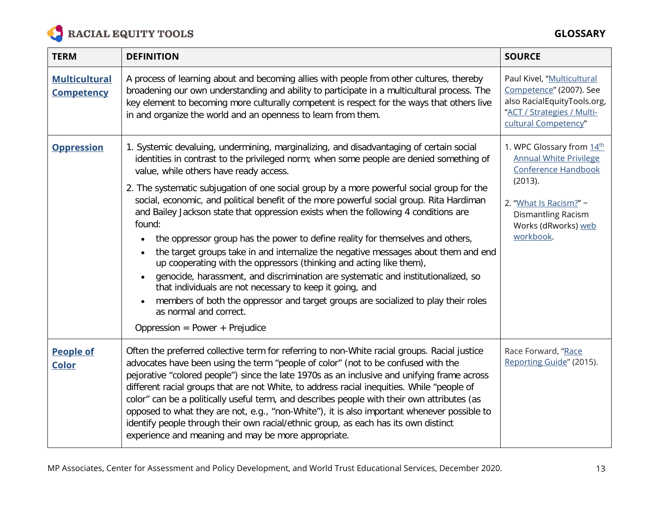

| <b>TERM</b>                               | <b>DEFINITION</b>                                                                                                                                                                                                                                                                                                                                                                                                                                                                                                                                                                                                                                                                                                                                                                                                                                                                                                                                                                                                                                                                                  | <b>SOURCE</b>                                                                                                                                                                    |
|-------------------------------------------|----------------------------------------------------------------------------------------------------------------------------------------------------------------------------------------------------------------------------------------------------------------------------------------------------------------------------------------------------------------------------------------------------------------------------------------------------------------------------------------------------------------------------------------------------------------------------------------------------------------------------------------------------------------------------------------------------------------------------------------------------------------------------------------------------------------------------------------------------------------------------------------------------------------------------------------------------------------------------------------------------------------------------------------------------------------------------------------------------|----------------------------------------------------------------------------------------------------------------------------------------------------------------------------------|
| <b>Multicultural</b><br><b>Competency</b> | A process of learning about and becoming allies with people from other cultures, thereby<br>broadening our own understanding and ability to participate in a multicultural process. The<br>key element to becoming more culturally competent is respect for the ways that others live<br>in and organize the world and an openness to learn from them.                                                                                                                                                                                                                                                                                                                                                                                                                                                                                                                                                                                                                                                                                                                                             | Paul Kivel, "Multicultural<br>Competence" (2007). See<br>also RacialEquityTools.org,<br>"ACT / Strategies / Multi-<br>cultural Competency"                                       |
| <b>Oppression</b>                         | 1. Systemic devaluing, undermining, marginalizing, and disadvantaging of certain social<br>identities in contrast to the privileged norm; when some people are denied something of<br>value, while others have ready access.<br>2. The systematic subjugation of one social group by a more powerful social group for the<br>social, economic, and political benefit of the more powerful social group. Rita Hardiman<br>and Bailey Jackson state that oppression exists when the following 4 conditions are<br>found:<br>the oppressor group has the power to define reality for themselves and others,<br>$\bullet$<br>the target groups take in and internalize the negative messages about them and end<br>$\bullet$<br>up cooperating with the oppressors (thinking and acting like them),<br>genocide, harassment, and discrimination are systematic and institutionalized, so<br>that individuals are not necessary to keep it going, and<br>members of both the oppressor and target groups are socialized to play their roles<br>as normal and correct.<br>Oppression = Power + Prejudice | 1. WPC Glossary from 14th<br><b>Annual White Privilege</b><br>Conference Handbook<br>(2013).<br>2. "What Is Racism?" -<br>Dismantling Racism<br>Works (dRworks) web<br>workbook. |
| <b>People of</b><br><b>Color</b>          | Often the preferred collective term for referring to non-White racial groups. Racial justice<br>advocates have been using the term "people of color" (not to be confused with the<br>pejorative "colored people") since the late 1970s as an inclusive and unifying frame across<br>different racial groups that are not White, to address racial inequities. While "people of<br>color" can be a politically useful term, and describes people with their own attributes (as<br>opposed to what they are not, e.g., "non-White"), it is also important whenever possible to<br>identify people through their own racial/ethnic group, as each has its own distinct<br>experience and meaning and may be more appropriate.                                                                                                                                                                                                                                                                                                                                                                         | Race Forward, "Race<br>Reporting Guide" (2015).                                                                                                                                  |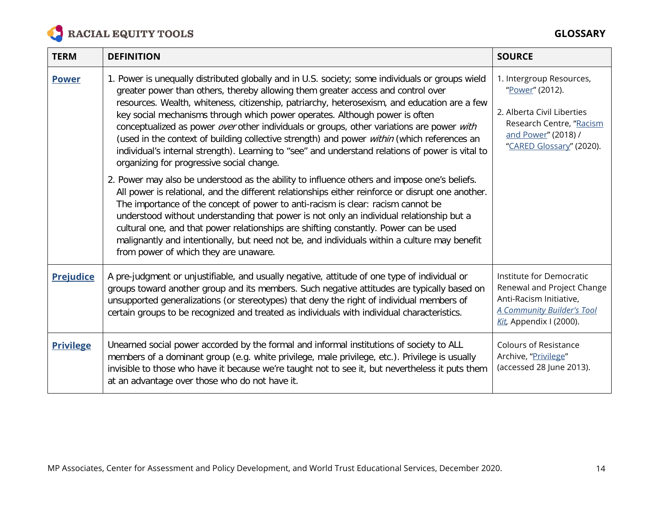

| <b>TERM</b>      | <b>DEFINITION</b>                                                                                                                                                                                                                                                                                                                                                                                                                                                                                                                                                                                                                                                                                                | <b>SOURCE</b>                                                                                                                                            |
|------------------|------------------------------------------------------------------------------------------------------------------------------------------------------------------------------------------------------------------------------------------------------------------------------------------------------------------------------------------------------------------------------------------------------------------------------------------------------------------------------------------------------------------------------------------------------------------------------------------------------------------------------------------------------------------------------------------------------------------|----------------------------------------------------------------------------------------------------------------------------------------------------------|
| <b>Power</b>     | 1. Power is unequally distributed globally and in U.S. society; some individuals or groups wield<br>greater power than others, thereby allowing them greater access and control over<br>resources. Wealth, whiteness, citizenship, patriarchy, heterosexism, and education are a few<br>key social mechanisms through which power operates. Although power is often<br>conceptualized as power over other individuals or groups, other variations are power with<br>(used in the context of building collective strength) and power within (which references an<br>individual's internal strength). Learning to "see" and understand relations of power is vital to<br>organizing for progressive social change. | 1. Intergroup Resources,<br>"Power" (2012).<br>2. Alberta Civil Liberties<br>Research Centre, "Racism<br>and Power" (2018) /<br>"CARED Glossary" (2020). |
|                  | 2. Power may also be understood as the ability to influence others and impose one's beliefs.<br>All power is relational, and the different relationships either reinforce or disrupt one another.<br>The importance of the concept of power to anti-racism is clear: racism cannot be<br>understood without understanding that power is not only an individual relationship but a<br>cultural one, and that power relationships are shifting constantly. Power can be used<br>malignantly and intentionally, but need not be, and individuals within a culture may benefit<br>from power of which they are unaware.                                                                                              |                                                                                                                                                          |
| <b>Prejudice</b> | A pre-judgment or unjustifiable, and usually negative, attitude of one type of individual or<br>groups toward another group and its members. Such negative attitudes are typically based on<br>unsupported generalizations (or stereotypes) that deny the right of individual members of<br>certain groups to be recognized and treated as individuals with individual characteristics.                                                                                                                                                                                                                                                                                                                          | Institute for Democratic<br>Renewal and Project Change<br>Anti-Racism Initiative,<br><b>A Community Builder's Tool</b><br>Kit, Appendix I (2000).        |
| <b>Privilege</b> | Unearned social power accorded by the formal and informal institutions of society to ALL<br>members of a dominant group (e.g. white privilege, male privilege, etc.). Privilege is usually<br>invisible to those who have it because we're taught not to see it, but nevertheless it puts them<br>at an advantage over those who do not have it.                                                                                                                                                                                                                                                                                                                                                                 | <b>Colours of Resistance</b><br>Archive, "Privilege"<br>(accessed 28 June 2013).                                                                         |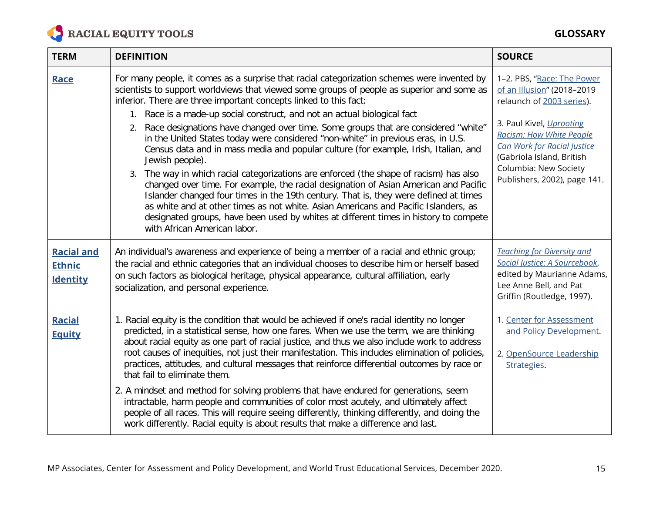

## **GLOSSARY**

| <b>TERM</b>                                           | <b>DEFINITION</b>                                                                                                                                                                                                                                                                                                                                                                                                                                                                                                                                                                                                                                                                                                                                                           | <b>SOURCE</b>                                                                                                                                                                    |
|-------------------------------------------------------|-----------------------------------------------------------------------------------------------------------------------------------------------------------------------------------------------------------------------------------------------------------------------------------------------------------------------------------------------------------------------------------------------------------------------------------------------------------------------------------------------------------------------------------------------------------------------------------------------------------------------------------------------------------------------------------------------------------------------------------------------------------------------------|----------------------------------------------------------------------------------------------------------------------------------------------------------------------------------|
| Race                                                  | For many people, it comes as a surprise that racial categorization schemes were invented by<br>scientists to support worldviews that viewed some groups of people as superior and some as<br>inferior. There are three important concepts linked to this fact:<br>1. Race is a made-up social construct, and not an actual biological fact                                                                                                                                                                                                                                                                                                                                                                                                                                  | 1-2. PBS, "Race: The Power<br>of an Illusion" (2018-2019<br>relaunch of 2003 series).                                                                                            |
|                                                       | 2. Race designations have changed over time. Some groups that are considered "white"<br>in the United States today were considered "non-white" in previous eras, in U.S.<br>Census data and in mass media and popular culture (for example, Irish, Italian, and<br>Jewish people).<br>3. The way in which racial categorizations are enforced (the shape of racism) has also<br>changed over time. For example, the racial designation of Asian American and Pacific<br>Islander changed four times in the 19th century. That is, they were defined at times<br>as white and at other times as not white. Asian Americans and Pacific Islanders, as<br>designated groups, have been used by whites at different times in history to compete<br>with African American labor. | 3. Paul Kivel, Uprooting<br>Racism: How White People<br><b>Can Work for Racial Justice</b><br>(Gabriola Island, British<br>Columbia: New Society<br>Publishers, 2002), page 141. |
| <b>Racial and</b><br><b>Ethnic</b><br><b>Identity</b> | An individual's awareness and experience of being a member of a racial and ethnic group;<br>the racial and ethnic categories that an individual chooses to describe him or herself based<br>on such factors as biological heritage, physical appearance, cultural affiliation, early<br>socialization, and personal experience.                                                                                                                                                                                                                                                                                                                                                                                                                                             | <b>Teaching for Diversity and</b><br>Social Justice: A Sourcebook,<br>edited by Maurianne Adams,<br>Lee Anne Bell, and Pat<br>Griffin (Routledge, 1997).                         |
| <b>Racial</b><br><b>Equity</b>                        | 1. Racial equity is the condition that would be achieved if one's racial identity no longer<br>predicted, in a statistical sense, how one fares. When we use the term, we are thinking<br>about racial equity as one part of racial justice, and thus we also include work to address<br>root causes of inequities, not just their manifestation. This includes elimination of policies,<br>practices, attitudes, and cultural messages that reinforce differential outcomes by race or<br>that fail to eliminate them.                                                                                                                                                                                                                                                     | 1. Center for Assessment<br>and Policy Development.<br>2. OpenSource Leadership<br>Strategies.                                                                                   |
|                                                       | 2. A mindset and method for solving problems that have endured for generations, seem<br>intractable, harm people and communities of color most acutely, and ultimately affect<br>people of all races. This will require seeing differently, thinking differently, and doing the<br>work differently. Racial equity is about results that make a difference and last.                                                                                                                                                                                                                                                                                                                                                                                                        |                                                                                                                                                                                  |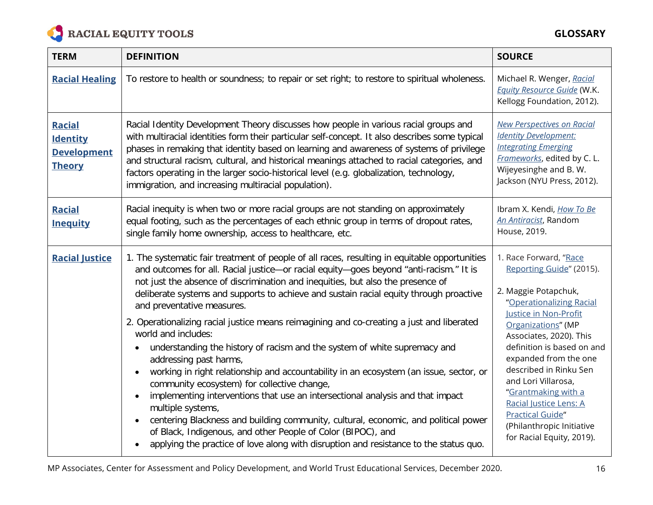

| <b>TERM</b>                                                             | <b>DEFINITION</b>                                                                                                                                                                                                                                                                                                                                                                                                                                                                                                                                                                                                                                                                                                                                                                                                                                                                                                                                                                                                                                                                                                             | <b>SOURCE</b>                                                                                                                                                                                                                                                                                                                                                                                                                  |
|-------------------------------------------------------------------------|-------------------------------------------------------------------------------------------------------------------------------------------------------------------------------------------------------------------------------------------------------------------------------------------------------------------------------------------------------------------------------------------------------------------------------------------------------------------------------------------------------------------------------------------------------------------------------------------------------------------------------------------------------------------------------------------------------------------------------------------------------------------------------------------------------------------------------------------------------------------------------------------------------------------------------------------------------------------------------------------------------------------------------------------------------------------------------------------------------------------------------|--------------------------------------------------------------------------------------------------------------------------------------------------------------------------------------------------------------------------------------------------------------------------------------------------------------------------------------------------------------------------------------------------------------------------------|
| <b>Racial Healing</b>                                                   | To restore to health or soundness; to repair or set right; to restore to spiritual wholeness.                                                                                                                                                                                                                                                                                                                                                                                                                                                                                                                                                                                                                                                                                                                                                                                                                                                                                                                                                                                                                                 | Michael R. Wenger, Racial<br><b>Equity Resource Guide (W.K.</b><br>Kellogg Foundation, 2012).                                                                                                                                                                                                                                                                                                                                  |
| <b>Racial</b><br><b>Identity</b><br><b>Development</b><br><b>Theory</b> | Racial Identity Development Theory discusses how people in various racial groups and<br>with multiracial identities form their particular self-concept. It also describes some typical<br>phases in remaking that identity based on learning and awareness of systems of privilege<br>and structural racism, cultural, and historical meanings attached to racial categories, and<br>factors operating in the larger socio-historical level (e.g. globalization, technology,<br>immigration, and increasing multiracial population).                                                                                                                                                                                                                                                                                                                                                                                                                                                                                                                                                                                          | <b>New Perspectives on Racial</b><br><b>Identity Development:</b><br><b>Integrating Emerging</b><br>Frameworks, edited by C. L.<br>Wijeyesinghe and B.W.<br>Jackson (NYU Press, 2012).                                                                                                                                                                                                                                         |
| <b>Racial</b><br><b>Inequity</b>                                        | Racial inequity is when two or more racial groups are not standing on approximately<br>equal footing, such as the percentages of each ethnic group in terms of dropout rates,<br>single family home ownership, access to healthcare, etc.                                                                                                                                                                                                                                                                                                                                                                                                                                                                                                                                                                                                                                                                                                                                                                                                                                                                                     | Ibram X. Kendi, How To Be<br>An Antiracist, Random<br>House, 2019.                                                                                                                                                                                                                                                                                                                                                             |
| <b>Racial Justice</b>                                                   | 1. The systematic fair treatment of people of all races, resulting in equitable opportunities<br>and outcomes for all. Racial justice-or racial equity-goes beyond "anti-racism." It is<br>not just the absence of discrimination and inequities, but also the presence of<br>deliberate systems and supports to achieve and sustain racial equity through proactive<br>and preventative measures.<br>2. Operationalizing racial justice means reimagining and co-creating a just and liberated<br>world and includes:<br>understanding the history of racism and the system of white supremacy and<br>addressing past harms,<br>working in right relationship and accountability in an ecosystem (an issue, sector, or<br>community ecosystem) for collective change,<br>implementing interventions that use an intersectional analysis and that impact<br>multiple systems,<br>centering Blackness and building community, cultural, economic, and political power<br>of Black, Indigenous, and other People of Color (BIPOC), and<br>applying the practice of love along with disruption and resistance to the status quo. | 1. Race Forward, "Race<br>Reporting Guide" (2015).<br>2. Maggie Potapchuk,<br>"Operationalizing Racial<br>Justice in Non-Profit<br>Organizations" (MP<br>Associates, 2020). This<br>definition is based on and<br>expanded from the one<br>described in Rinku Sen<br>and Lori Villarosa,<br>"Grantmaking with a<br>Racial Justice Lens: A<br><b>Practical Guide"</b><br>(Philanthropic Initiative<br>for Racial Equity, 2019). |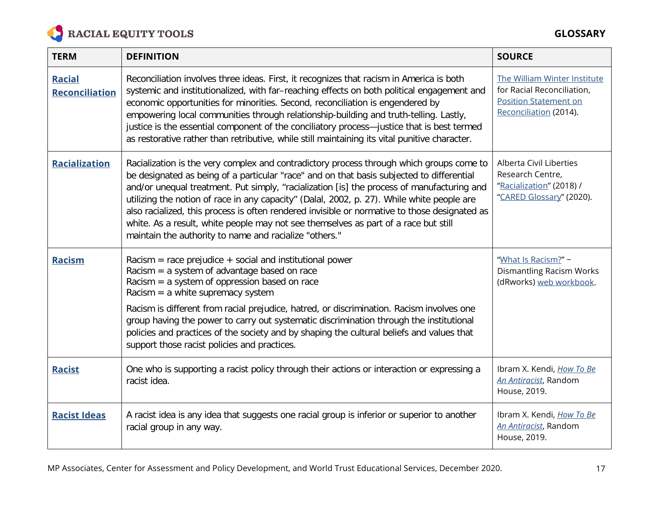

| <b>TERM</b>                            | <b>DEFINITION</b>                                                                                                                                                                                                                                                                                                                                                                                                                                                                                                                                                                                                                   | <b>SOURCE</b>                                                                                                        |
|----------------------------------------|-------------------------------------------------------------------------------------------------------------------------------------------------------------------------------------------------------------------------------------------------------------------------------------------------------------------------------------------------------------------------------------------------------------------------------------------------------------------------------------------------------------------------------------------------------------------------------------------------------------------------------------|----------------------------------------------------------------------------------------------------------------------|
| <b>Racial</b><br><b>Reconciliation</b> | Reconciliation involves three ideas. First, it recognizes that racism in America is both<br>systemic and institutionalized, with far-reaching effects on both political engagement and<br>economic opportunities for minorities. Second, reconciliation is engendered by<br>empowering local communities through relationship-building and truth-telling. Lastly,<br>justice is the essential component of the conciliatory process-justice that is best termed<br>as restorative rather than retributive, while still maintaining its vital punitive character.                                                                    | The William Winter Institute<br>for Racial Reconciliation,<br><b>Position Statement on</b><br>Reconciliation (2014). |
| <b>Racialization</b>                   | Racialization is the very complex and contradictory process through which groups come to<br>be designated as being of a particular "race" and on that basis subjected to differential<br>and/or unequal treatment. Put simply, "racialization [is] the process of manufacturing and<br>utilizing the notion of race in any capacity" (Dalal, 2002, p. 27). While white people are<br>also racialized, this process is often rendered invisible or normative to those designated as<br>white. As a result, white people may not see themselves as part of a race but still<br>maintain the authority to name and racialize "others." | Alberta Civil Liberties<br>Research Centre,<br>"Racialization" (2018) /<br>"CARED Glossary" (2020).                  |
| <b>Racism</b>                          | Racism = race prejudice + social and institutional power<br>Racism $=$ a system of advantage based on race<br>Racism $=$ a system of oppression based on race<br>Racism = $a$ white supremacy system<br>Racism is different from racial prejudice, hatred, or discrimination. Racism involves one<br>group having the power to carry out systematic discrimination through the institutional<br>policies and practices of the society and by shaping the cultural beliefs and values that<br>support those racist policies and practices.                                                                                           | "What Is Racism?" -<br><b>Dismantling Racism Works</b><br>(dRworks) web workbook.                                    |
| <b>Racist</b>                          | One who is supporting a racist policy through their actions or interaction or expressing a<br>racist idea.                                                                                                                                                                                                                                                                                                                                                                                                                                                                                                                          | Ibram X. Kendi, How To Be<br>An Antiracist, Random<br>House, 2019.                                                   |
| <b>Racist Ideas</b>                    | A racist idea is any idea that suggests one racial group is inferior or superior to another<br>racial group in any way.                                                                                                                                                                                                                                                                                                                                                                                                                                                                                                             | Ibram X. Kendi, How To Be<br>An Antiracist, Random<br>House, 2019.                                                   |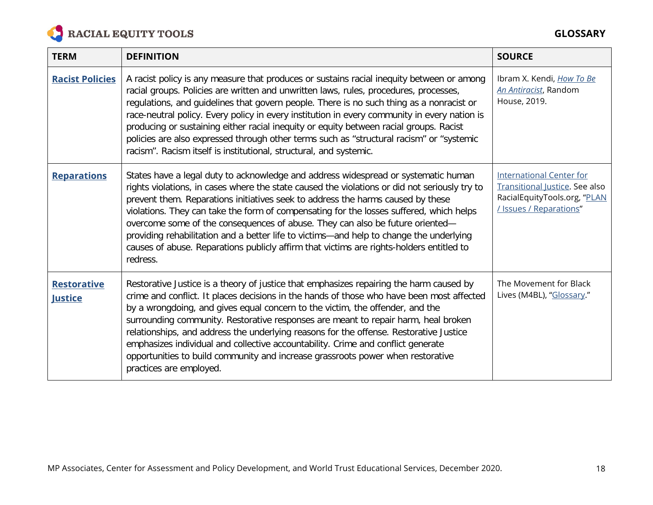

| <b>TERM</b>                          | <b>DEFINITION</b>                                                                                                                                                                                                                                                                                                                                                                                                                                                                                                                                                                                                                                       | <b>SOURCE</b>                                                                                                                       |
|--------------------------------------|---------------------------------------------------------------------------------------------------------------------------------------------------------------------------------------------------------------------------------------------------------------------------------------------------------------------------------------------------------------------------------------------------------------------------------------------------------------------------------------------------------------------------------------------------------------------------------------------------------------------------------------------------------|-------------------------------------------------------------------------------------------------------------------------------------|
| <b>Racist Policies</b>               | A racist policy is any measure that produces or sustains racial inequity between or among<br>racial groups. Policies are written and unwritten laws, rules, procedures, processes,<br>regulations, and guidelines that govern people. There is no such thing as a nonracist or<br>race-neutral policy. Every policy in every institution in every community in every nation is<br>producing or sustaining either racial inequity or equity between racial groups. Racist<br>policies are also expressed through other terms such as "structural racism" or "systemic<br>racism". Racism itself is institutional, structural, and systemic.              | Ibram X. Kendi, How To Be<br>An Antiracist, Random<br>House, 2019.                                                                  |
| <b>Reparations</b>                   | States have a legal duty to acknowledge and address widespread or systematic human<br>rights violations, in cases where the state caused the violations or did not seriously try to<br>prevent them. Reparations initiatives seek to address the harms caused by these<br>violations. They can take the form of compensating for the losses suffered, which helps<br>overcome some of the consequences of abuse. They can also be future oriented-<br>providing rehabilitation and a better life to victims-and help to change the underlying<br>causes of abuse. Reparations publicly affirm that victims are rights-holders entitled to<br>redress.   | <b>International Center for</b><br><b>Transitional Justice. See also</b><br>RacialEquityTools.org, "PLAN<br>/ Issues / Reparations" |
| <b>Restorative</b><br><b>Justice</b> | Restorative Justice is a theory of justice that emphasizes repairing the harm caused by<br>crime and conflict. It places decisions in the hands of those who have been most affected<br>by a wrongdoing, and gives equal concern to the victim, the offender, and the<br>surrounding community. Restorative responses are meant to repair harm, heal broken<br>relationships, and address the underlying reasons for the offense. Restorative Justice<br>emphasizes individual and collective accountability. Crime and conflict generate<br>opportunities to build community and increase grassroots power when restorative<br>practices are employed. | The Movement for Black<br>Lives (M4BL), "Glossary."                                                                                 |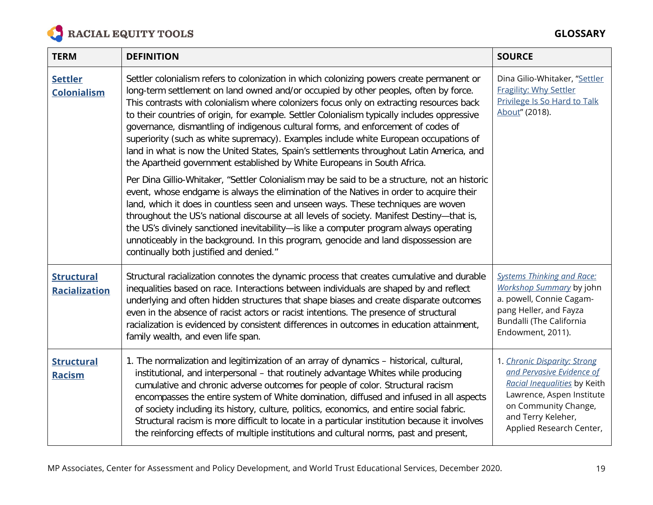

| <b>TERM</b>                               | <b>DEFINITION</b>                                                                                                                                                                                                                                                                                                                                                                                                                                                                                                                                                                                                                                                                                                                                                                                                                    | <b>SOURCE</b>                                                                                                                                                                                    |
|-------------------------------------------|--------------------------------------------------------------------------------------------------------------------------------------------------------------------------------------------------------------------------------------------------------------------------------------------------------------------------------------------------------------------------------------------------------------------------------------------------------------------------------------------------------------------------------------------------------------------------------------------------------------------------------------------------------------------------------------------------------------------------------------------------------------------------------------------------------------------------------------|--------------------------------------------------------------------------------------------------------------------------------------------------------------------------------------------------|
| <b>Settler</b><br><b>Colonialism</b>      | Settler colonialism refers to colonization in which colonizing powers create permanent or<br>long-term settlement on land owned and/or occupied by other peoples, often by force.<br>This contrasts with colonialism where colonizers focus only on extracting resources back<br>to their countries of origin, for example. Settler Colonialism typically includes oppressive<br>governance, dismantling of indigenous cultural forms, and enforcement of codes of<br>superiority (such as white supremacy). Examples include white European occupations of<br>land in what is now the United States, Spain's settlements throughout Latin America, and<br>the Apartheid government established by White Europeans in South Africa.<br>Per Dina Gillio-Whitaker, "Settler Colonialism may be said to be a structure, not an historic | Dina Gilio-Whitaker, "Settler<br><b>Fragility: Why Settler</b><br>Privilege Is So Hard to Talk<br>About" (2018).                                                                                 |
|                                           | event, whose endgame is always the elimination of the Natives in order to acquire their<br>land, which it does in countless seen and unseen ways. These techniques are woven<br>throughout the US's national discourse at all levels of society. Manifest Destiny-that is,<br>the US's divinely sanctioned inevitability-is like a computer program always operating<br>unnoticeably in the background. In this program, genocide and land dispossession are<br>continually both justified and denied."                                                                                                                                                                                                                                                                                                                              |                                                                                                                                                                                                  |
| <b>Structural</b><br><b>Racialization</b> | Structural racialization connotes the dynamic process that creates cumulative and durable<br>inequalities based on race. Interactions between individuals are shaped by and reflect<br>underlying and often hidden structures that shape biases and create disparate outcomes<br>even in the absence of racist actors or racist intentions. The presence of structural<br>racialization is evidenced by consistent differences in outcomes in education attainment,<br>family wealth, and even life span.                                                                                                                                                                                                                                                                                                                            | <b>Systems Thinking and Race:</b><br>Workshop Summary by john<br>a. powell, Connie Cagam-<br>pang Heller, and Fayza<br>Bundalli (The California<br>Endowment, 2011).                             |
| <b>Structural</b><br><b>Racism</b>        | 1. The normalization and legitimization of an array of dynamics - historical, cultural,<br>institutional, and interpersonal - that routinely advantage Whites while producing<br>cumulative and chronic adverse outcomes for people of color. Structural racism<br>encompasses the entire system of White domination, diffused and infused in all aspects<br>of society including its history, culture, politics, economics, and entire social fabric.<br>Structural racism is more difficult to locate in a particular institution because it involves<br>the reinforcing effects of multiple institutions and cultural norms, past and present,                                                                                                                                                                                    | 1. Chronic Disparity: Strong<br>and Pervasive Evidence of<br>Racial Inequalities by Keith<br>Lawrence, Aspen Institute<br>on Community Change,<br>and Terry Keleher,<br>Applied Research Center, |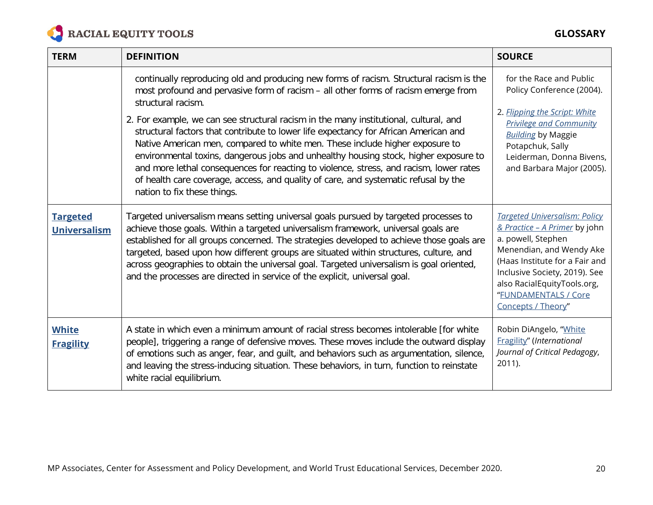

| <b>TERM</b>                            | <b>DEFINITION</b>                                                                                                                                                                                                                                                                                                                                                                                                                                                                                                                                                                                                                                                                                                                                                            | <b>SOURCE</b>                                                                                                                                                                                                                                                           |
|----------------------------------------|------------------------------------------------------------------------------------------------------------------------------------------------------------------------------------------------------------------------------------------------------------------------------------------------------------------------------------------------------------------------------------------------------------------------------------------------------------------------------------------------------------------------------------------------------------------------------------------------------------------------------------------------------------------------------------------------------------------------------------------------------------------------------|-------------------------------------------------------------------------------------------------------------------------------------------------------------------------------------------------------------------------------------------------------------------------|
|                                        | continually reproducing old and producing new forms of racism. Structural racism is the<br>most profound and pervasive form of racism - all other forms of racism emerge from<br>structural racism.<br>2. For example, we can see structural racism in the many institutional, cultural, and<br>structural factors that contribute to lower life expectancy for African American and<br>Native American men, compared to white men. These include higher exposure to<br>environmental toxins, dangerous jobs and unhealthy housing stock, higher exposure to<br>and more lethal consequences for reacting to violence, stress, and racism, lower rates<br>of health care coverage, access, and quality of care, and systematic refusal by the<br>nation to fix these things. | for the Race and Public<br>Policy Conference (2004).<br>2. Flipping the Script: White<br><b>Privilege and Community</b><br><b>Building by Maggie</b><br>Potapchuk, Sally<br>Leiderman, Donna Bivens,<br>and Barbara Major (2005).                                       |
| <b>Targeted</b><br><b>Universalism</b> | Targeted universalism means setting universal goals pursued by targeted processes to<br>achieve those goals. Within a targeted universalism framework, universal goals are<br>established for all groups concerned. The strategies developed to achieve those goals are<br>targeted, based upon how different groups are situated within structures, culture, and<br>across geographies to obtain the universal goal. Targeted universalism is goal oriented,<br>and the processes are directed in service of the explicit, universal goal.                                                                                                                                                                                                                                  | <b>Targeted Universalism: Policy</b><br>& Practice - A Primer by john<br>a. powell, Stephen<br>Menendian, and Wendy Ake<br>(Haas Institute for a Fair and<br>Inclusive Society, 2019). See<br>also RacialEquityTools.org,<br>"FUNDAMENTALS / Core<br>Concepts / Theory" |
| <b>White</b><br><b>Fragility</b>       | A state in which even a minimum amount of racial stress becomes intolerable [for white<br>people], triggering a range of defensive moves. These moves include the outward display<br>of emotions such as anger, fear, and guilt, and behaviors such as argumentation, silence,<br>and leaving the stress-inducing situation. These behaviors, in turn, function to reinstate<br>white racial equilibrium.                                                                                                                                                                                                                                                                                                                                                                    | Robin DiAngelo, "White<br>Fragility" (International<br>Journal of Critical Pedagogy,<br>2011).                                                                                                                                                                          |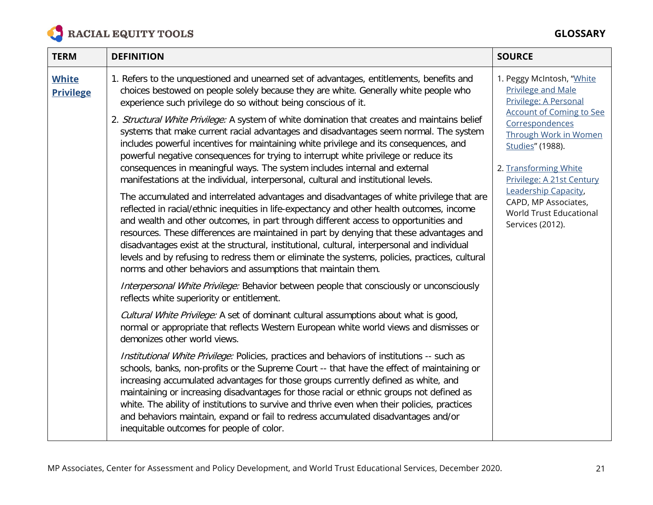

## **GLOSSARY**

| <b>TERM</b>                      | <b>DEFINITION</b>                                                                                                                                                                                                                                                                                                                                                                                                                                                                                                                                                                                                                              | <b>SOURCE</b>                                                                                                      |
|----------------------------------|------------------------------------------------------------------------------------------------------------------------------------------------------------------------------------------------------------------------------------------------------------------------------------------------------------------------------------------------------------------------------------------------------------------------------------------------------------------------------------------------------------------------------------------------------------------------------------------------------------------------------------------------|--------------------------------------------------------------------------------------------------------------------|
| <b>White</b><br><b>Privilege</b> | 1. Refers to the unquestioned and unearned set of advantages, entitlements, benefits and<br>choices bestowed on people solely because they are white. Generally white people who<br>experience such privilege do so without being conscious of it.                                                                                                                                                                                                                                                                                                                                                                                             | 1. Peggy McIntosh, "White<br><b>Privilege and Male</b><br>Privilege: A Personal<br><b>Account of Coming to See</b> |
|                                  | 2. Structural White Privilege: A system of white domination that creates and maintains belief<br>systems that make current racial advantages and disadvantages seem normal. The system<br>includes powerful incentives for maintaining white privilege and its consequences, and<br>powerful negative consequences for trying to interrupt white privilege or reduce its<br>consequences in meaningful ways. The system includes internal and external                                                                                                                                                                                         | Correspondences<br>Through Work in Women<br>Studies" (1988).<br>2. Transforming White                              |
|                                  | manifestations at the individual, interpersonal, cultural and institutional levels.                                                                                                                                                                                                                                                                                                                                                                                                                                                                                                                                                            | Privilege: A 21st Century                                                                                          |
|                                  | The accumulated and interrelated advantages and disadvantages of white privilege that are<br>reflected in racial/ethnic inequities in life-expectancy and other health outcomes, income<br>and wealth and other outcomes, in part through different access to opportunities and<br>resources. These differences are maintained in part by denying that these advantages and<br>disadvantages exist at the structural, institutional, cultural, interpersonal and individual<br>levels and by refusing to redress them or eliminate the systems, policies, practices, cultural<br>norms and other behaviors and assumptions that maintain them. | Leadership Capacity,<br>CAPD, MP Associates,<br>World Trust Educational<br>Services (2012).                        |
|                                  | Interpersonal White Privilege: Behavior between people that consciously or unconsciously<br>reflects white superiority or entitlement.                                                                                                                                                                                                                                                                                                                                                                                                                                                                                                         |                                                                                                                    |
|                                  | Cultural White Privilege: A set of dominant cultural assumptions about what is good,<br>normal or appropriate that reflects Western European white world views and dismisses or<br>demonizes other world views.                                                                                                                                                                                                                                                                                                                                                                                                                                |                                                                                                                    |
|                                  | Institutional White Privilege: Policies, practices and behaviors of institutions -- such as<br>schools, banks, non-profits or the Supreme Court -- that have the effect of maintaining or<br>increasing accumulated advantages for those groups currently defined as white, and<br>maintaining or increasing disadvantages for those racial or ethnic groups not defined as<br>white. The ability of institutions to survive and thrive even when their policies, practices<br>and behaviors maintain, expand or fail to redress accumulated disadvantages and/or<br>inequitable outcomes for people of color.                                 |                                                                                                                    |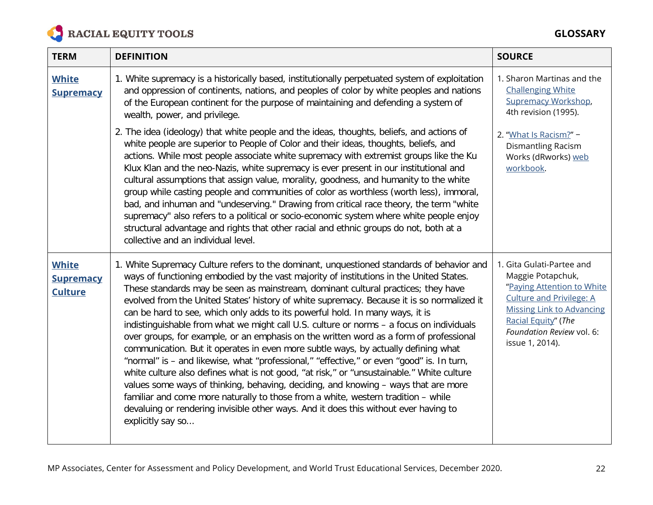

| <b>TERM</b>                                        | <b>DEFINITION</b>                                                                                                                                                                                                                                                                                                                                                                                                                                                                                                                                                                                                                                                                                                                                                                                                                                                                                                                                                                                                                                                                                                                                                                                                      | <b>SOURCE</b>                                                                                                                                                                                                              |
|----------------------------------------------------|------------------------------------------------------------------------------------------------------------------------------------------------------------------------------------------------------------------------------------------------------------------------------------------------------------------------------------------------------------------------------------------------------------------------------------------------------------------------------------------------------------------------------------------------------------------------------------------------------------------------------------------------------------------------------------------------------------------------------------------------------------------------------------------------------------------------------------------------------------------------------------------------------------------------------------------------------------------------------------------------------------------------------------------------------------------------------------------------------------------------------------------------------------------------------------------------------------------------|----------------------------------------------------------------------------------------------------------------------------------------------------------------------------------------------------------------------------|
| <b>White</b><br><b>Supremacy</b>                   | 1. White supremacy is a historically based, institutionally perpetuated system of exploitation<br>and oppression of continents, nations, and peoples of color by white peoples and nations<br>of the European continent for the purpose of maintaining and defending a system of<br>wealth, power, and privilege.                                                                                                                                                                                                                                                                                                                                                                                                                                                                                                                                                                                                                                                                                                                                                                                                                                                                                                      | 1. Sharon Martinas and the<br><b>Challenging White</b><br><b>Supremacy Workshop,</b><br>4th revision (1995).                                                                                                               |
|                                                    | 2. The idea (ideology) that white people and the ideas, thoughts, beliefs, and actions of<br>white people are superior to People of Color and their ideas, thoughts, beliefs, and<br>actions. While most people associate white supremacy with extremist groups like the Ku<br>Klux Klan and the neo-Nazis, white supremacy is ever present in our institutional and<br>cultural assumptions that assign value, morality, goodness, and humanity to the white<br>group while casting people and communities of color as worthless (worth less), immoral,<br>bad, and inhuman and "undeserving." Drawing from critical race theory, the term "white<br>supremacy" also refers to a political or socio-economic system where white people enjoy<br>structural advantage and rights that other racial and ethnic groups do not, both at a<br>collective and an individual level.                                                                                                                                                                                                                                                                                                                                          | 2. "What Is Racism?" -<br>Dismantling Racism<br>Works (dRworks) web<br>workbook.                                                                                                                                           |
| <b>White</b><br><b>Supremacy</b><br><b>Culture</b> | 1. White Supremacy Culture refers to the dominant, unquestioned standards of behavior and<br>ways of functioning embodied by the vast majority of institutions in the United States.<br>These standards may be seen as mainstream, dominant cultural practices; they have<br>evolved from the United States' history of white supremacy. Because it is so normalized it<br>can be hard to see, which only adds to its powerful hold. In many ways, it is<br>indistinguishable from what we might call U.S. culture or norms - a focus on individuals<br>over groups, for example, or an emphasis on the written word as a form of professional<br>communication. But it operates in even more subtle ways, by actually defining what<br>"normal" is - and likewise, what "professional," "effective," or even "good" is. In turn,<br>white culture also defines what is not good, "at risk," or "unsustainable." White culture<br>values some ways of thinking, behaving, deciding, and knowing - ways that are more<br>familiar and come more naturally to those from a white, western tradition - while<br>devaluing or rendering invisible other ways. And it does this without ever having to<br>explicitly say so | 1. Gita Gulati-Partee and<br>Maggie Potapchuk,<br>"Paying Attention to White<br><b>Culture and Privilege: A</b><br><b>Missing Link to Advancing</b><br>Racial Equity" (The<br>Foundation Review vol. 6:<br>issue 1, 2014). |